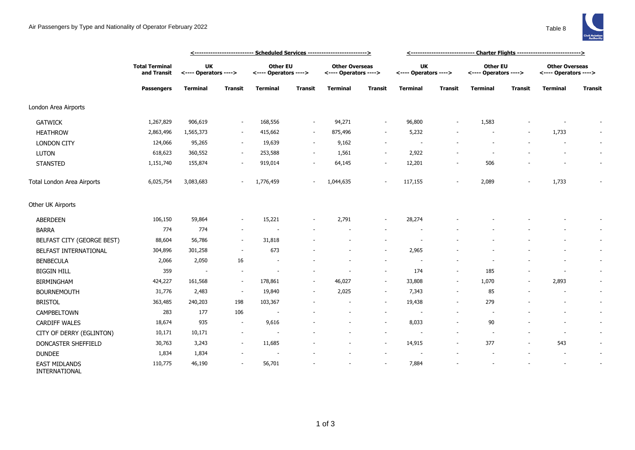|                                       |                                                           | <--------------------------- Scheduled Services -------------------------> |                          |                                   |                          |                                                |                          | <----------------------------- Charter Flights ---------------------------> |                          |                                          |                |                                                |                          |
|---------------------------------------|-----------------------------------------------------------|----------------------------------------------------------------------------|--------------------------|-----------------------------------|--------------------------|------------------------------------------------|--------------------------|-----------------------------------------------------------------------------|--------------------------|------------------------------------------|----------------|------------------------------------------------|--------------------------|
|                                       | <b>Total Terminal</b><br>and Transit<br><b>Passengers</b> | <b>UK</b><br><---- Operators ---->                                         |                          | Other EU<br><---- Operators ----> |                          | <b>Other Overseas</b><br><---- Operators ----> |                          | <b>UK</b><br><---- Operators ---->                                          |                          | <b>Other EU</b><br><---- Operators ----> |                | <b>Other Overseas</b><br><---- Operators ----> |                          |
|                                       |                                                           | <b>Terminal</b>                                                            | <b>Transit</b>           | Terminal                          | Transit                  | Terminal                                       | <b>Transit</b>           | <b>Terminal</b>                                                             | <b>Transit</b>           | <b>Terminal</b>                          | <b>Transit</b> | <b>Terminal</b>                                | Transit                  |
| London Area Airports                  |                                                           |                                                                            |                          |                                   |                          |                                                |                          |                                                                             |                          |                                          |                |                                                |                          |
| <b>GATWICK</b>                        | 1,267,829                                                 | 906,619                                                                    | ٠                        | 168,556                           | $\sim$                   | 94,271                                         | $\overline{\phantom{a}}$ | 96,800                                                                      |                          | 1,583                                    |                |                                                |                          |
| <b>HEATHROW</b>                       | 2,863,496                                                 | 1,565,373                                                                  | $\sim$                   | 415,662                           | $\sim$                   | 875,496                                        | $\overline{\phantom{a}}$ | 5,232                                                                       |                          | $\overline{\phantom{a}}$                 |                | 1,733                                          | $\sim$                   |
| <b>LONDON CITY</b>                    | 124,066                                                   | 95,265                                                                     | $\sim$                   | 19,639                            | $\sim$                   | 9,162                                          | $\overline{\phantom{a}}$ |                                                                             |                          |                                          |                |                                                | $\overline{\phantom{a}}$ |
| LUTON                                 | 618,623                                                   | 360,552                                                                    | $\sim$                   | 253,588                           | $\overline{\phantom{a}}$ | 1,561                                          | $\sim$                   | 2,922                                                                       |                          |                                          |                |                                                | $\sim$                   |
| <b>STANSTED</b>                       | 1,151,740                                                 | 155,874                                                                    | ٠                        | 919,014                           | $\sim$                   | 64,145                                         | $\overline{\phantom{a}}$ | 12,201                                                                      |                          | 506                                      |                |                                                | $\sim$                   |
| Total London Area Airports            | 6,025,754                                                 | 3,083,683                                                                  |                          | 1,776,459                         |                          | 1,044,635                                      | $\sim$                   | 117,155                                                                     |                          | 2,089                                    |                | 1,733                                          |                          |
| Other UK Airports                     |                                                           |                                                                            |                          |                                   |                          |                                                |                          |                                                                             |                          |                                          |                |                                                |                          |
| <b>ABERDEEN</b>                       | 106,150                                                   | 59,864                                                                     | $\overline{\phantom{a}}$ | 15,221                            |                          | 2,791                                          | $\overline{\phantom{a}}$ | 28,274                                                                      |                          |                                          |                |                                                |                          |
| <b>BARRA</b>                          | 774                                                       | 774                                                                        | $\overline{\phantom{a}}$ |                                   |                          |                                                |                          |                                                                             |                          |                                          |                |                                                |                          |
| BELFAST CITY (GEORGE BEST)            | 88,604                                                    | 56,786                                                                     | $\sim$                   | 31,818                            |                          |                                                |                          |                                                                             |                          |                                          |                |                                                | $\sim$                   |
| BELFAST INTERNATIONAL                 | 304,896                                                   | 301,258                                                                    | $\overline{\phantom{a}}$ | 673                               |                          |                                                | $\overline{\phantom{a}}$ | 2,965                                                                       |                          |                                          |                |                                                | $\sim$                   |
| <b>BENBECULA</b>                      | 2,066                                                     | 2,050                                                                      | 16                       |                                   |                          |                                                | $\overline{\phantom{a}}$ |                                                                             |                          |                                          |                |                                                | $\sim$                   |
| <b>BIGGIN HILL</b>                    | 359                                                       | $\sim$                                                                     | ٠                        |                                   |                          |                                                | $\sim$                   | 174                                                                         |                          | 185                                      |                | $\overline{a}$                                 | $\sim$                   |
| <b>BIRMINGHAM</b>                     | 424,227                                                   | 161,568                                                                    | $\sim$                   | 178,861                           | $\sim$                   | 46,027                                         | $\sim$                   | 33,808                                                                      |                          | 1,070                                    |                | 2,893                                          | $\overline{\phantom{a}}$ |
| <b>BOURNEMOUTH</b>                    | 31,776                                                    | 2,483                                                                      | $\sim$                   | 19,840                            | $\sim$                   | 2,025                                          | $\sim$                   | 7,343                                                                       |                          | 85                                       |                |                                                | $\sim$                   |
| <b>BRISTOL</b>                        | 363,485                                                   | 240,203                                                                    | 198                      | 103,367                           |                          | $\overline{\phantom{a}}$                       | $\sim$                   | 19,438                                                                      | $\overline{\phantom{0}}$ | 279                                      |                | $\overline{\phantom{a}}$                       | $\sim$                   |
| CAMPBELTOWN                           | 283                                                       | 177                                                                        | 106                      |                                   |                          |                                                | $\sim$                   |                                                                             |                          | $\overline{\phantom{a}}$                 |                |                                                | $\sim$                   |
| <b>CARDIFF WALES</b>                  | 18,674                                                    | 935                                                                        | $\overline{\phantom{a}}$ | 9,616                             |                          |                                                | $\sim$                   | 8,033                                                                       |                          | 90                                       |                | $\overline{\phantom{a}}$                       | $\sim$                   |
| CITY OF DERRY (EGLINTON)              | 10,171                                                    | 10,171                                                                     | ÷                        |                                   |                          |                                                | $\sim$                   | $\overline{a}$                                                              |                          | $\overline{\phantom{a}}$                 |                | $\overline{\phantom{a}}$                       | $\sim$                   |
| DONCASTER SHEFFIELD                   | 30,763                                                    | 3,243                                                                      | $\sim$                   | 11,685                            |                          |                                                | $\overline{\phantom{a}}$ | 14,915                                                                      |                          | 377                                      |                | 543                                            | $\sim$                   |
| <b>DUNDEE</b>                         | 1,834                                                     | 1,834                                                                      |                          |                                   |                          |                                                | $\overline{\phantom{a}}$ | $\overline{a}$                                                              |                          |                                          |                | $\overline{\phantom{a}}$                       | $\sim$                   |
| <b>EAST MIDLANDS</b><br>INTERNATIONAL | 110,775                                                   | 46,190                                                                     |                          | 56,701                            |                          |                                                | $\overline{\phantom{a}}$ | 7,884                                                                       |                          |                                          |                |                                                |                          |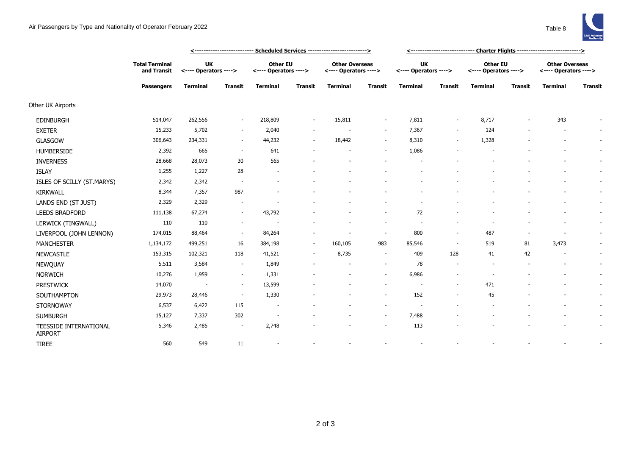

|                                          |                                                           | <u> &lt;--------------------------- Scheduled Services --------------------------&gt;</u> |                          |                                          |                |                                                |                          |                                    |                          |                                          |                |                                                |                          |
|------------------------------------------|-----------------------------------------------------------|-------------------------------------------------------------------------------------------|--------------------------|------------------------------------------|----------------|------------------------------------------------|--------------------------|------------------------------------|--------------------------|------------------------------------------|----------------|------------------------------------------------|--------------------------|
|                                          | <b>Total Terminal</b><br>and Transit<br><b>Passengers</b> | <b>UK</b><br><---- Operators ---->                                                        |                          | <b>Other EU</b><br><---- Operators ----> |                | <b>Other Overseas</b><br><---- Operators ----> |                          | <b>UK</b><br><---- Operators ----> |                          | <b>Other EU</b><br><---- Operators ----> |                | <b>Other Overseas</b><br><---- Operators ----> |                          |
|                                          |                                                           | <b>Terminal</b>                                                                           | <b>Transit</b>           | <b>Terminal</b>                          | <b>Transit</b> | <b>Terminal</b>                                | <b>Transit</b>           | <b>Terminal</b>                    | <b>Transit</b>           | <b>Terminal</b>                          | <b>Transit</b> | <b>Terminal</b>                                | <b>Transit</b>           |
| Other UK Airports                        |                                                           |                                                                                           |                          |                                          |                |                                                |                          |                                    |                          |                                          |                |                                                |                          |
| <b>EDINBURGH</b>                         | 514,047                                                   | 262,556                                                                                   | $\sim$                   | 218,809                                  | $\sim$         | 15,811                                         | $\overline{\phantom{a}}$ | 7,811                              | $\overline{\phantom{a}}$ | 8,717                                    |                | 343                                            |                          |
| <b>EXETER</b>                            | 15,233                                                    | 5,702                                                                                     | $\overline{\phantom{a}}$ | 2,040                                    | $\sim$         | $\overline{\phantom{a}}$                       | $\sim$                   | 7,367                              | $\overline{\phantom{a}}$ | 124                                      |                | $\overline{\phantom{a}}$                       |                          |
| GLASGOW                                  | 306,643                                                   | 234,331                                                                                   | $\sim$                   | 44,232                                   | $\sim$         | 18,442                                         | $\overline{\phantom{a}}$ | 8,310                              | $\overline{\phantom{a}}$ | 1,328                                    |                | $\overline{\phantom{a}}$                       | $\sim$                   |
| <b>HUMBERSIDE</b>                        | 2,392                                                     | 665                                                                                       | $\sim$                   | 641                                      |                |                                                | $\overline{\phantom{a}}$ | 1,086                              |                          |                                          |                |                                                | $\sim$                   |
| <b>INVERNESS</b>                         | 28,668                                                    | 28,073                                                                                    | 30                       | 565                                      |                |                                                |                          |                                    |                          |                                          |                |                                                | $\sim$                   |
| <b>ISLAY</b>                             | 1,255                                                     | 1,227                                                                                     | 28                       |                                          |                |                                                |                          |                                    |                          |                                          |                |                                                | $\sim$                   |
| ISLES OF SCILLY (ST.MARYS)               | 2,342                                                     | 2,342                                                                                     | $\overline{\phantom{a}}$ |                                          |                |                                                |                          |                                    |                          |                                          |                |                                                | $\sim$                   |
| <b>KIRKWALL</b>                          | 8,344                                                     | 7,357                                                                                     | 987                      |                                          |                |                                                |                          |                                    |                          |                                          |                |                                                | $\overline{\phantom{a}}$ |
| LANDS END (ST JUST)                      | 2,329                                                     | 2,329                                                                                     |                          |                                          |                |                                                |                          |                                    |                          |                                          |                |                                                | $\sim$                   |
| <b>LEEDS BRADFORD</b>                    | 111,138                                                   | 67,274                                                                                    | $\overline{\phantom{a}}$ | 43,792                                   |                |                                                | $\overline{\phantom{a}}$ | 72                                 |                          |                                          |                | ٠                                              | $\sim$                   |
| LERWICK (TINGWALL)                       | 110                                                       | 110                                                                                       |                          |                                          |                |                                                | ۰                        |                                    |                          |                                          |                |                                                | $\sim$                   |
| LIVERPOOL (JOHN LENNON)                  | 174,015                                                   | 88,464                                                                                    | $\overline{\phantom{a}}$ | 84,264                                   |                |                                                | $\overline{\phantom{a}}$ | 800                                | $\overline{\phantom{a}}$ | 487                                      |                |                                                |                          |
| <b>MANCHESTER</b>                        | 1,134,172                                                 | 499,251                                                                                   | 16                       | 384,198                                  | $\sim$         | 160,105                                        | 983                      | 85,546                             | $\sim$                   | 519                                      | 81             | 3,473                                          | $\sim$                   |
| <b>NEWCASTLE</b>                         | 153,315                                                   | 102,321                                                                                   | 118                      | 41,521                                   |                | 8,735                                          | $\overline{\phantom{a}}$ | 409                                | 128                      | 41                                       | 42             |                                                | $\sim$                   |
| NEWQUAY                                  | 5,511                                                     | 3,584                                                                                     | $\sim$                   | 1,849                                    |                |                                                | $\sim$                   | 78                                 | $\overline{\phantom{a}}$ |                                          |                |                                                | $\sim$                   |
| <b>NORWICH</b>                           | 10,276                                                    | 1,959                                                                                     | $\sim$                   | 1,331                                    |                |                                                | $\sim$                   | 6,986                              |                          |                                          |                |                                                | $\sim$                   |
| <b>PRESTWICK</b>                         | 14,070                                                    |                                                                                           | $\overline{\phantom{a}}$ | 13,599                                   |                |                                                | $\overline{\phantom{a}}$ |                                    |                          | 471                                      |                |                                                | $\sim$                   |
| SOUTHAMPTON                              | 29,973                                                    | 28,446                                                                                    | $\overline{\phantom{a}}$ | 1,330                                    |                |                                                | $\sim$                   | 152                                | $\blacksquare$           | 45                                       |                |                                                | $\sim$                   |
| <b>STORNOWAY</b>                         | 6,537                                                     | 6,422                                                                                     | 115                      |                                          |                |                                                | ٠                        |                                    |                          |                                          |                |                                                |                          |
| <b>SUMBURGH</b>                          | 15,127                                                    | 7,337                                                                                     | 302                      |                                          |                |                                                | $\sim$                   | 7,488                              |                          |                                          |                |                                                | $\sim$                   |
| TEESSIDE INTERNATIONAL<br><b>AIRPORT</b> | 5,346                                                     | 2,485                                                                                     | $\sim$                   | 2,748                                    |                |                                                | $\sim$                   | 113                                |                          |                                          |                |                                                | $\sim$                   |
| <b>TIREE</b>                             | 560                                                       | 549                                                                                       | 11                       |                                          |                |                                                |                          |                                    |                          |                                          |                |                                                |                          |